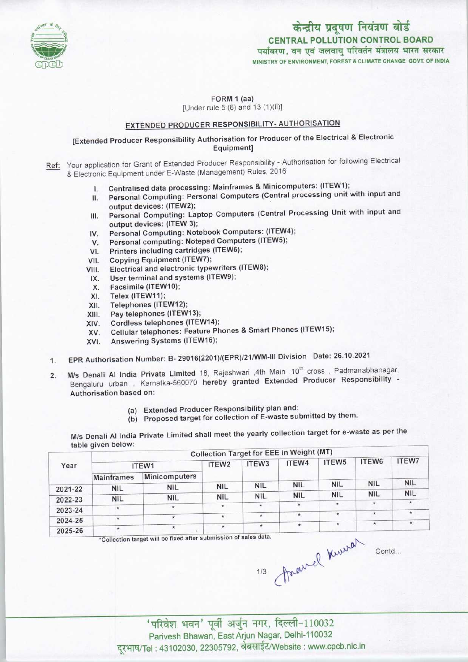

केन्द्रीय प्रदूषण नियंत्रण बोर्ड CENTRAL POLLUTION CONTROL BOARD पर्यावरण. वन एवं जलवाय परिवर्तन मंत्रालय भारत सरकार MINISTRY OF ENVIRONMENT, FOREST A CLIMATE CHANGE GOVT. OF INDIA

FORM 1 (aa)

[Under rule 5 (6) and 13 (1)(ii)]

# EXTENDED PRODUCER RESPONSIBILITY- AUTHORISATION

### [Extended Producer Responsibility Authorisation for Producer of the Electrical & Electronic Equipment]

- Ref: Your application for Grant of Extended Producer Responsibility Authorisation for following Electrical & Electronic Equipment under E-Waste (Management) Rules, 2016
	-
	- I. Centralised data processing: Mainframes & Minicomputers: (ITEW1);<br>II. Personal Computing: Personal Computers (Central processing unit) Personal Computing: Personal Computers (Central processing unit with input and output devices: (ITEW2);
	- III. Personal Computing: Laptop Computers (Central Processing Unit with input and output devices: (ITEW 3);
	- IV. Personal Computing: Notebook Computers: (ITEW4);<br>V. Personal computing: Notepad Computers (ITEW5);
	- output devices: (ITEW 3);<br>V. Personal Computing: Notebook Computers: (ITEW<br>V. Personal computing: Notepad Computers (ITEW5); IV. Personal Computing: Notebook Comp<br>V. Personal computing: Notepad Compu<br>VI. Printers including cartridges (ITEW6);
	-
	-
	- VI. Printers including cartridges (ITEW6);<br>VII. Copying Equipment (ITEW7);<br>VIII. Electrical and electronic typewriters (I III. Electrical and electronic typewriters (ITEW8);<br>IX. User terminal and systems (ITEW9); /II. Copying Equipment (ITEW7);<br>III. Electrical and electronic typewriters<br>IX. User terminal and systems (ITEW9);
	- II. Electrical and electrical<br>X. Eacsimile (ITEW10);<br>X. Facsimile (ITEW10);
	-
	-
	- X. Facsimile (ITEW10);<br>XI. Telex (ITEW11);<br>XII. Telephones (ITEW12 XI. Facsimile (ITEW10);<br>XII. Telephones (ITEW12);<br>XII. Pay telephones (ITEW
	- XI. Felex (FEWTT);<br>XII. Telephones (ITEW12);<br>XIII. Pay telephones (ITEW13);
	-
	- XIII. Pay telephones (ITEW13);<br>XIV. Cordless telephones (ITEW14);<br>XV. Cellular telephones: Feature Ph Cellular telephones: Feature Phones & Smart Phones (ITEW15);
	- XVI. Answering Systems (ITEW16);
	- 1.EPR Authorisation Number:B- 29016(2201)/(EPR)/21/WM-III Division Date: 26.10.2021
	- 2. M/s Denali Al India Private Limited 18, Rajeshwari ,4th Main ,10<sup>th</sup> cross , Padmanabhanagar, Bengaluru urban , Karnatka-560070 hereby granted Extended Producer Responsibility - Authorisation based on:
		- (a)Extended Producer Responsibility plan and;
		- (b) Proposed target for collection of E-waste submitted by them.

M/s Denali Al India Private Limited shall meet the yearly collection target for e-waste as per the table given below:

|                   | ITEW1                    | ITEW <sub>2</sub> | ITEW <sub>3</sub> | ITEW4      | ITEW5                                                            | ITEW6      | ITEW7                |
|-------------------|--------------------------|-------------------|-------------------|------------|------------------------------------------------------------------|------------|----------------------|
| <b>Mainframes</b> | Minicomputers            |                   |                   |            |                                                                  |            |                      |
|                   | <b>NIL</b>               | <b>NIL</b>        | <b>NIL</b>        | <b>NIL</b> | <b>NIL</b>                                                       |            | <b>NIL</b>           |
|                   |                          | <b>NIL</b>        | <b>NIL</b>        | <b>NIL</b> | <b>NIL</b>                                                       | <b>NIL</b> | <b>NIL</b>           |
|                   | $\star$                  | $\star$           | $\star$           |            | $\star$                                                          | $\star$    | $\star$              |
| $\star$           | $\star$                  | $\star$           | $\star$           | $\star$    | $\star$                                                          | $\star$    | $\star$              |
| $\star$           | $\star$                  | $\star$           |                   | $\star$    | $\star$                                                          | $\star$    | $\pmb{\star}$        |
|                   | <b>NIL</b><br><b>NIL</b> | <b>NIL</b>        |                   |            | *Collection target will be fixed after submission of sales data. |            | <b>NIL</b><br>aune - |

travel 'परिवेश भवन' पूर्वी अर्जुन नगर, दिल्ली-110032<br>Parivesh Bhawan, East Arjun Nagar, Delhi-110032 दूरभाष/Tel: 43102030, 22305792, वेबसाईट/Website : www.cpcb.nic.in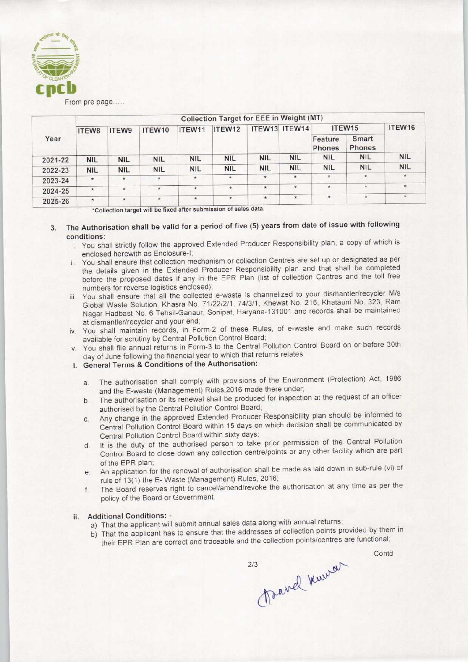

From pre page.....

| Year    | Collection Target for EEE in Weight (MT) |            |            |            |            |            |               |                    |                               |            |
|---------|------------------------------------------|------------|------------|------------|------------|------------|---------------|--------------------|-------------------------------|------------|
|         | ITEW8                                    | ITEW9      | ITEW10     | ITEW11     | ITEW12     |            | ITEW13 ITEW14 | ITEW <sub>15</sub> |                               | ITEW16     |
|         |                                          |            |            |            |            |            |               | Feature<br>Phones  | <b>Smart</b><br><b>Phones</b> |            |
| 2021-22 | <b>NIL</b>                               | <b>NIL</b> | <b>NIL</b> | <b>NIL</b> | <b>NIL</b> | <b>NIL</b> | <b>NIL</b>    | <b>NIL</b>         | <b>NIL</b>                    | <b>NIL</b> |
| 2022-23 | <b>NIL</b>                               | <b>NIL</b> | <b>NIL</b> | <b>NIL</b> | <b>NIL</b> | <b>NIL</b> | <b>NIL</b>    | <b>NIL</b>         | <b>NIL</b>                    | <b>NIL</b> |
| 2023-24 | $\star$                                  | $\star$    | $\star$    | $\star$    | $\star$    | $\star$    | $\star$       | $\star$            | $\star$                       | $\star$    |
| 2024-25 | $\star$                                  | $\star$    | $\star$    | $\star$    | $\star$    | $\star$    | $\star$       | $\star$            | $\star$                       | $\star$    |
| 2025-26 | $\star$                                  | $\star$    | $\star$    | $\star$    | $\star$    | $\star$    | $\star$       | $\star$            | $\star$                       | $\star$    |

'Collection target will be fixed after submission of sales data.

#### The Authorisation shall be valid for a period of five (5) years from date of issue with following  $\overline{3}$ conditions:

- i. You shall strictly follow the approved Extended Producer Responsibility plan, a copy of which is enclosed herewith as Enclosure-I;
- ii. You shall ensure that collection mechanism or collection Centres are set up or designated as per the details given in the Extended Producer Responsibility plan and that shall be completed before the proposed dates if any in the EPR Plan (list of collection Centres and the toll free numbers for reverse logistics enclosed);
- iii. You shall ensure that all the collected e-waste is channelized to your dismantler/recycler M/s Global Waste Solution, Khasra No. 71/22/2/1, 74/3/1, Khewat No. 216, Khatauni No. 323, Ram Nagar Hadbast No. 6 Tehsil-Ganaur, Sonipat, Haryana-131001 and records shall be maintained at dismantler/recycler and your end;
- iv. You shall maintain records, in Form-2 of these Rules, of e-waste and make such records available for scrutiny by Central Pollution Control Board;
- v. You shall file annual returns in Form-3 to the Central Pollution Control Board on or before 30th day of June following the financial year to which that returns relates.
- i. General Terms & Conditions of the Authorisation:
	- a. The authorisation shall comply with provisions of the Environment (Protection) Act, 1986 and the E-waste (Management) Rules,2016 made there under;
	- b.The authorisation or its renewal shall be produced for inspection at the request of an officer authorised by the Centra! Pollution Control Board;
	- c.Any change in the approved Extended Producer Responsibility plan should be informed to Central Pollution Control Board within 15 days on which decision shall be communicated by Central Pollution Control Board within sixty days;
	- d.It is the duty of the authorised person to take prior permission of the Central Pollution Control Board to close down any collection centre/points or any other facility which are part of the EPR plan;
	- e.An application for the renewal of authorisation shall be made aslaid down in sub-rule (vi) of rule of 13(1) the E-Waste (Management) Rules, 2016;
	- f.The Board reserves right to cancel/amend/revoke the authorisation at any time as per the policy of the Board or Government.

### ii. Additional Conditions: -

- a) That the applicant will submit annual sales data along with annual returns;
- b) That the applicant has to ensure that the addresses of collection points provided by them in their EPR Plan are correct and traceable and the collection points/centres are functional;

Travel Kurren  $213$ 

**Contd**